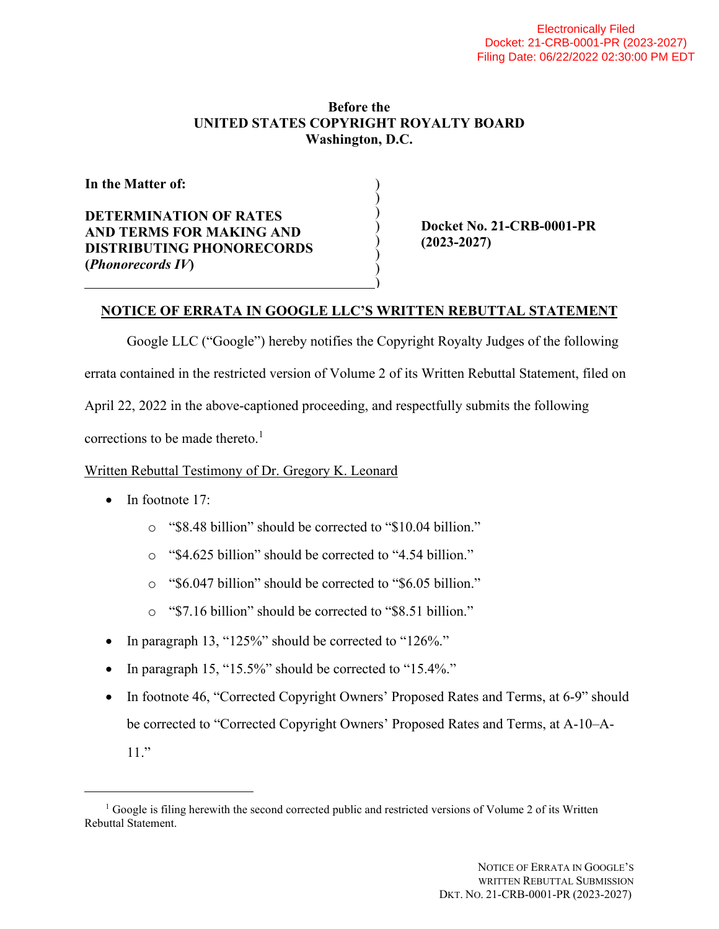## **Before the UNITED STATES COPYRIGHT ROYALTY BOARD Washington, D.C.**

) ) ) ) ) ) ) )

**In the Matter of:** 

**DETERMINATION OF RATES AND TERMS FOR MAKING AND DISTRIBUTING PHONORECORDS (***Phonorecords IV***)** 

 **Docket No. 21-CRB-0001-PR (2023-2027)** 

## **NOTICE OF ERRATA IN GOOGLE LLC'S WRITTEN REBUTTAL STATEMENT**

Google LLC ("Google") hereby notifies the Copyright Royalty Judges of the following errata contained in the restricted version of Volume 2 of its Written Rebuttal Statement, filed on April 22, 2022 in the above-captioned proceeding, and respectfully submits the following corrections to be made thereto.<sup>1</sup>

Written Rebuttal Testimony of Dr. Gregory K. Leonard

- $\bullet$  In footnote 17:
	- o "\$8.48 billion" should be corrected to "\$10.04 billion."
	- o "\$4.625 billion" should be corrected to "4.54 billion."
	- o "\$6.047 billion" should be corrected to "\$6.05 billion."
	- o "\$7.16 billion" should be corrected to "\$8.51 billion."
- In paragraph 13, "125%" should be corrected to "126%."
- In paragraph 15, "15.5%" should be corrected to "15.4%."
- In footnote 46, "Corrected Copyright Owners' Proposed Rates and Terms, at 6-9" should be corrected to "Corrected Copyright Owners' Proposed Rates and Terms, at A-10–A-11."

<sup>&</sup>lt;sup>1</sup> Google is filing herewith the second corrected public and restricted versions of Volume 2 of its Written Rebuttal Statement.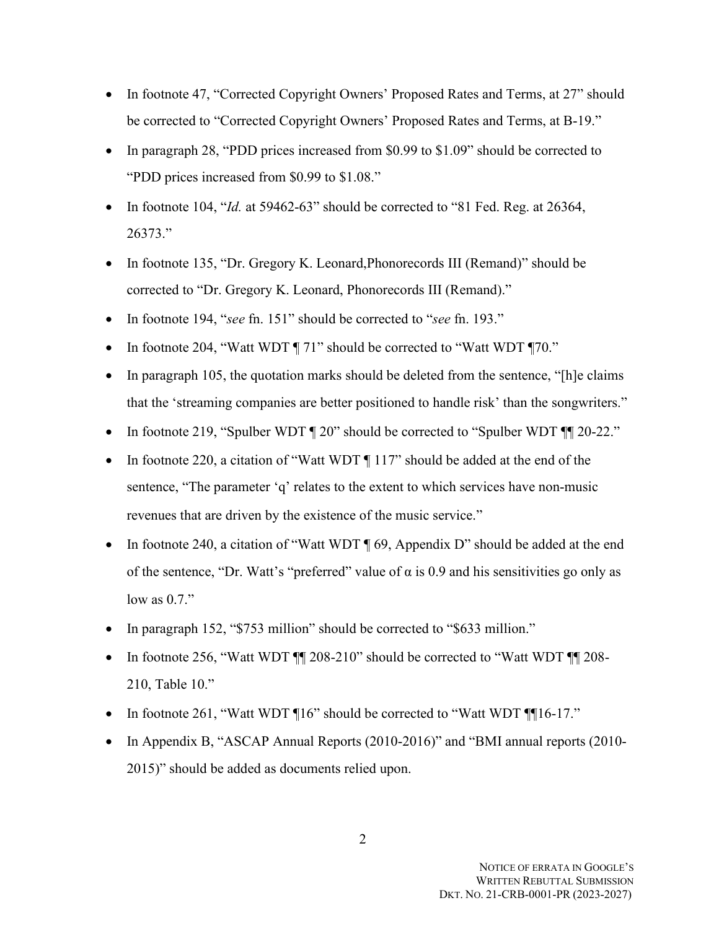- In footnote 47, "Corrected Copyright Owners' Proposed Rates and Terms, at 27" should be corrected to "Corrected Copyright Owners' Proposed Rates and Terms, at B-19."
- In paragraph 28, "PDD prices increased from \$0.99 to \$1.09" should be corrected to "PDD prices increased from \$0.99 to \$1.08."
- In footnote 104, "*Id.* at 59462-63" should be corrected to "81 Fed. Reg. at 26364, 26373."
- In footnote 135, "Dr. Gregory K. Leonard,Phonorecords III (Remand)" should be corrected to "Dr. Gregory K. Leonard, Phonorecords III (Remand)."
- In footnote 194, "*see* fn. 151" should be corrected to "*see* fn. 193."
- In footnote 204, "Watt WDT ¶ 71" should be corrected to "Watt WDT ¶70."
- $\bullet$  In paragraph 105, the quotation marks should be deleted from the sentence, "[h]e claims that the 'streaming companies are better positioned to handle risk' than the songwriters."
- In footnote 219, "Spulber WDT  $\P$  20" should be corrected to "Spulber WDT  $\P$   $\P$  20-22."
- In footnote 220, a citation of "Watt WDT ¶ 117" should be added at the end of the sentence, "The parameter 'q' relates to the extent to which services have non-music revenues that are driven by the existence of the music service."
- In footnote 240, a citation of "Watt WDT  $\P$  69, Appendix D" should be added at the end of the sentence, "Dr. Watt's "preferred" value of  $\alpha$  is 0.9 and his sensitivities go only as low as 0.7."
- In paragraph 152, "\$753 million" should be corrected to "\$633 million."
- In footnote 256, "Watt WDT  $\P$  208-210" should be corrected to "Watt WDT  $\P$  208-210, Table 10."
- In footnote 261, "Watt WDT ¶16" should be corrected to "Watt WDT ¶¶16-17."
- In Appendix B, "ASCAP Annual Reports (2010-2016)" and "BMI annual reports (2010-2015)" should be added as documents relied upon.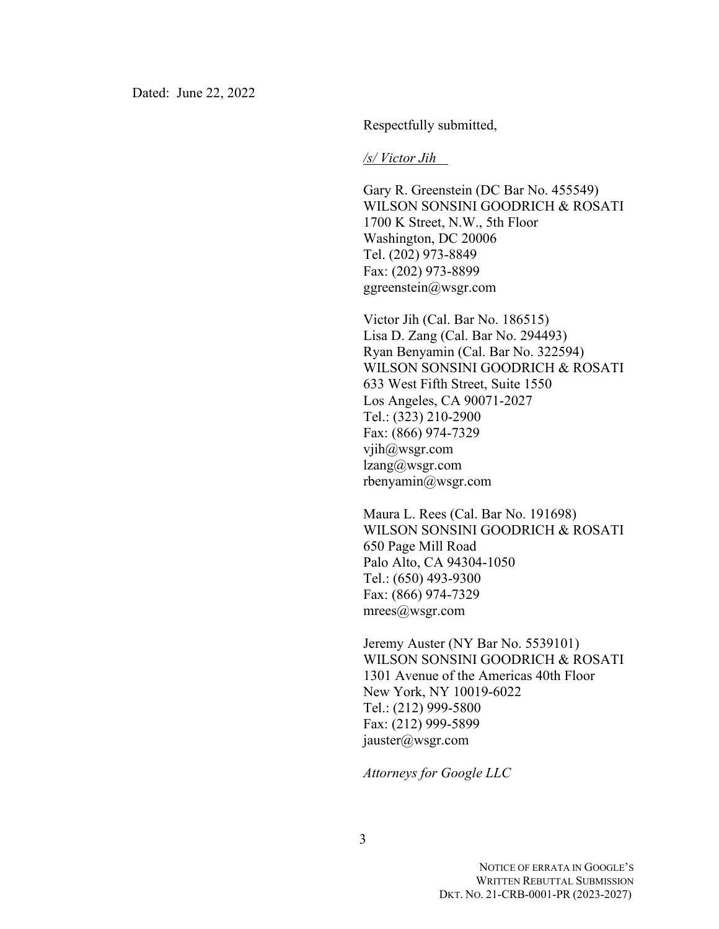Respectfully submitted,

*/s/ Victor Jih* 

Gary R. Greenstein (DC Bar No. 455549) WILSON SONSINI GOODRICH & ROSATI 1700 K Street, N.W., 5th Floor Washington, DC 20006 Tel. (202) 973-8849 Fax: (202) 973-8899 ggreenstein@wsgr.com

Victor Jih (Cal. Bar No. 186515) Lisa D. Zang (Cal. Bar No. 294493) Ryan Benyamin (Cal. Bar No. 322594) WILSON SONSINI GOODRICH & ROSATI 633 West Fifth Street, Suite 1550 Los Angeles, CA 90071-2027 Tel.: (323) 210-2900 Fax: (866) 974-7329 vjih@wsgr.com lzang@wsgr.com rbenyamin@wsgr.com

Maura L. Rees (Cal. Bar No. 191698) WILSON SONSINI GOODRICH & ROSATI 650 Page Mill Road Palo Alto, CA 94304-1050 Tel.: (650) 493-9300 Fax: (866) 974-7329 mrees@wsgr.com

Jeremy Auster (NY Bar No. 5539101) WILSON SONSINI GOODRICH & ROSATI 1301 Avenue of the Americas 40th Floor New York, NY 10019-6022 Tel.: (212) 999-5800 Fax: (212) 999-5899 jauster@wsgr.com

*Attorneys for Google LLC*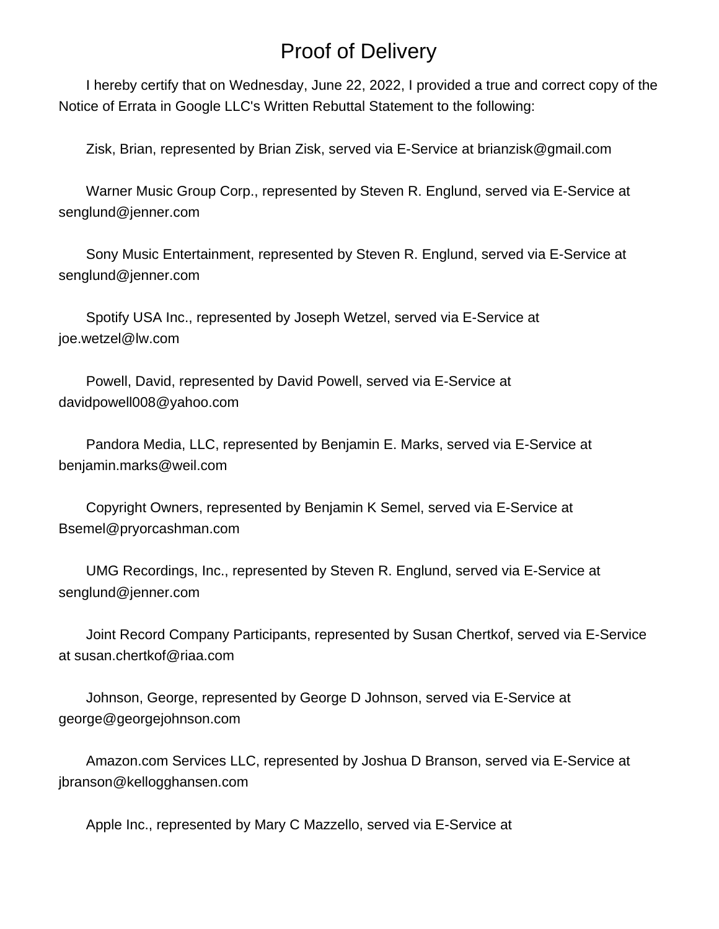## Proof of Delivery

 I hereby certify that on Wednesday, June 22, 2022, I provided a true and correct copy of the Notice of Errata in Google LLC's Written Rebuttal Statement to the following:

Zisk, Brian, represented by Brian Zisk, served via E-Service at brianzisk@gmail.com

 Warner Music Group Corp., represented by Steven R. Englund, served via E-Service at senglund@jenner.com

 Sony Music Entertainment, represented by Steven R. Englund, served via E-Service at senglund@jenner.com

 Spotify USA Inc., represented by Joseph Wetzel, served via E-Service at joe.wetzel@lw.com

 Powell, David, represented by David Powell, served via E-Service at davidpowell008@yahoo.com

 Pandora Media, LLC, represented by Benjamin E. Marks, served via E-Service at benjamin.marks@weil.com

 Copyright Owners, represented by Benjamin K Semel, served via E-Service at Bsemel@pryorcashman.com

 UMG Recordings, Inc., represented by Steven R. Englund, served via E-Service at senglund@jenner.com

 Joint Record Company Participants, represented by Susan Chertkof, served via E-Service at susan.chertkof@riaa.com

 Johnson, George, represented by George D Johnson, served via E-Service at george@georgejohnson.com

 Amazon.com Services LLC, represented by Joshua D Branson, served via E-Service at jbranson@kellogghansen.com

Apple Inc., represented by Mary C Mazzello, served via E-Service at